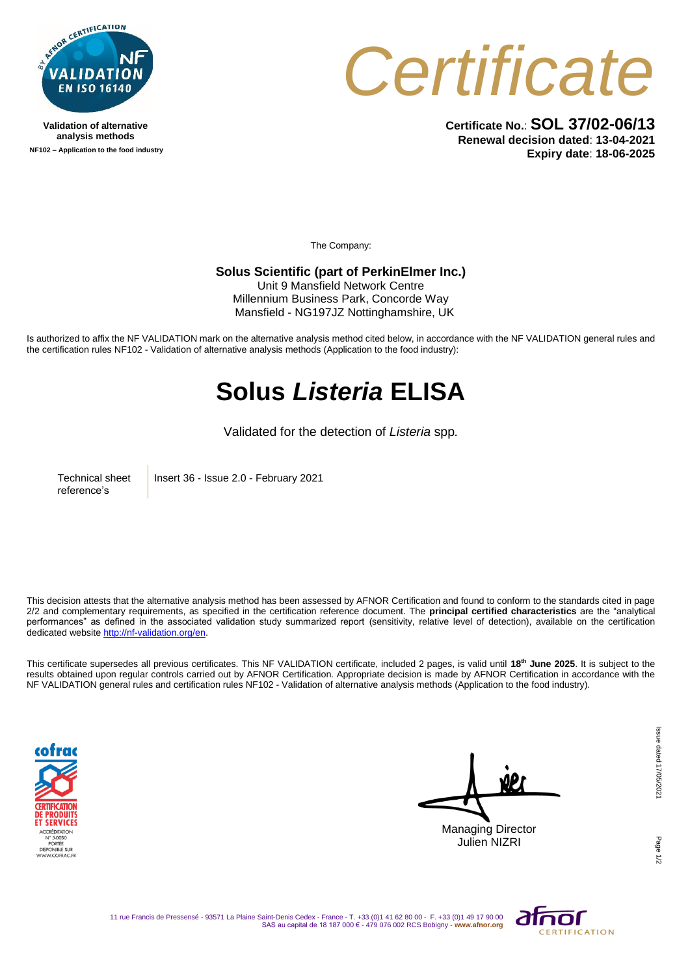

**Validation of alternative analysis methods NF102 – Application to the food industry**



**Certificate No.**: **SOL 37/02-06/13 Renewal decision dated**: **13-04-2021 Expiry date**: **18-06-2025**

The Company:

## **Solus Scientific (part of PerkinElmer Inc.)**

Unit 9 Mansfield Network Centre Millennium Business Park, Concorde Way Mansfield - NG197JZ Nottinghamshire, UK

Is authorized to affix the NF VALIDATION mark on the alternative analysis method cited below, in accordance with the NF VALIDATION general rules and the certification rules NF102 - Validation of alternative analysis methods (Application to the food industry):

## **Solus** *Listeria* **ELISA**

Validated for the detection of *Listeria* spp*.*

Technical sheet reference's

Insert 36 - Issue 2.0 - February 2021

This decision attests that the alternative analysis method has been assessed by AFNOR Certification and found to conform to the standards cited in page 2/2 and complementary requirements, as specified in the certification reference document. The **principal certified characteristics** are the "analytical performances" as defined in the associated validation study summarized report (sensitivity, relative level of detection), available on the certification dedicated websit[e http://nf-validation.org/en.](http://nf-validation.org/en)

This certificate supersedes all previous certificates. This NF VALIDATION certificate, included 2 pages, is valid until **18th June 2025**. It is subject to the results obtained upon regular controls carried out by AFNOR Certification. Appropriate decision is made by AFNOR Certification in accordance with the NF VALIDATION general rules and certification rules NF102 - Validation of alternative analysis methods (Application to the food industry).



Managing Director Julien NIZRI